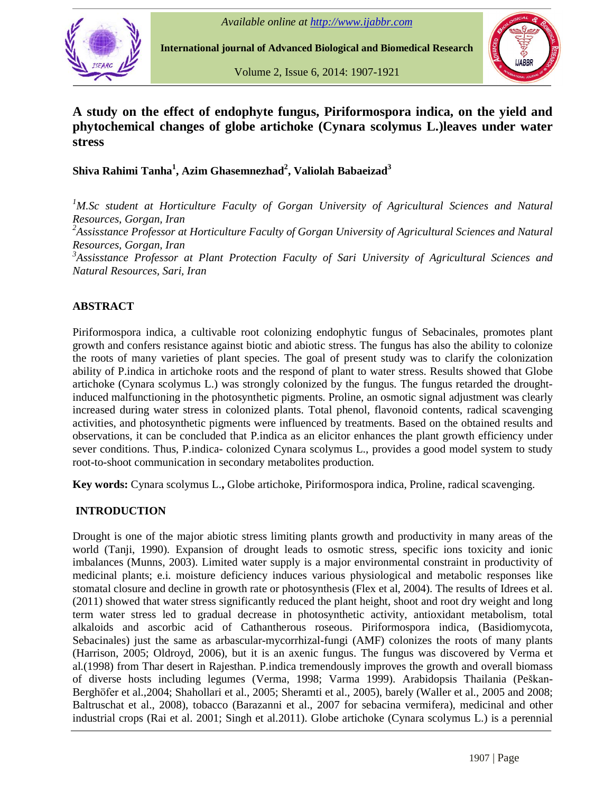

**International journal of Advanced Biological and Biomedical Research**

Volume 2, Issue 6, 2014: 1907-1921



# **A study on the effect of endophyte fungus, Piriformospora indica, on the yield and phytochemical changes of globe artichoke (Cynara scolymus L.)leaves under water stress**

**Shiva Rahimi Tanha 1 , Azim Ghasemnezhad 2 , Valiolah Babaeizad 3**

*<sup>1</sup>M.Sc student at Horticulture Faculty of Gorgan University of Agricultural Sciences and Natural Resources, Gorgan, Iran <sup>2</sup>Assisstance Professor at Horticulture Faculty of Gorgan University of Agricultural Sciences and Natural Resources, Gorgan, Iran <sup>3</sup>Assisstance Professor at Plant Protection Faculty of Sari University of Agricultural Sciences and Natural Resources, Sari, Iran*

## **ABSTRACT**

Piriformospora indica, a cultivable root colonizing endophytic fungus of Sebacinales, promotes plant growth and confers resistance against biotic and abiotic stress. The fungus has also the ability to colonize the roots of many varieties of plant species. The goal of present study was to clarify the colonization ability of P.indica in artichoke roots and the respond of plant to water stress. Results showed that Globe artichoke (Cynara scolymus L.) was strongly colonized by the fungus. The fungus retarded the droughtinduced malfunctioning in the photosynthetic pigments. Proline, an osmotic signal adjustment was clearly increased during water stress in colonized plants. Total phenol, flavonoid contents, radical scavenging activities, and photosynthetic pigments were influenced by treatments. Based on the obtained results and observations, it can be concluded that P.indica as an elicitor enhances the plant growth efficiency under sever conditions. Thus, P.indica- colonized Cynara scolymus L., provides a good model system to study root-to-shoot communication in secondary metabolites production.

**Key words:** Cynara scolymus L.**,** Globe artichoke, Piriformospora indica, Proline, radical scavenging.

## **INTRODUCTION**

Drought is one of the major abiotic stress limiting plants growth and productivity in many areas of the world (Tanji, 1990). Expansion of drought leads to osmotic stress, specific ions toxicity and ionic imbalances (Munns, 2003). Limited water supply is a major environmental constraint in productivity of medicinal plants; e.i. moisture deficiency induces various physiological and metabolic responses like stomatal closure and decline in growth rate or photosynthesis (Flex et al, 2004). The results of Idrees et al. (2011) showed that water stress significantly reduced the plant height, shoot and root dry weight and long term water stress led to gradual decrease in photosynthetic activity, antioxidant metabolism, total alkaloids and ascorbic acid of Cathantherous roseous. Piriformospora indica, (Basidiomycota, Sebacinales) just the same as arbascular-mycorrhizal-fungi (AMF) colonizes the roots of many plants (Harrison, 2005; Oldroyd, 2006), but it is an axenic fungus. The fungus was discovered by Verma et al.(1998) from Thar desert in Rajesthan. P.indica tremendously improves the growth and overall biomass (Harrison, 2005; Oldroyd, 2006), but it is an axenic fungus. The fungus was discovered by Verma et al.(1998) from Thar desert in Rajesthan. P.indica tremendously improves the growth and overall biomass of diverse hosts inc al.(1998) from Thar desert in Rajesthan. P.indica tremendously improves the growth and overall biomass<br>of diverse hosts including legumes (Verma, 1998; Varma 1999). Arabidopsis Thailania (Peškan-<br>Berghöfer et al.,2004; Sha Baltruschat et al., 2008), tobacco (Barazanni et al., 2007 for sebacina vermifera), medicinal and other industrial crops (Rai et al. 2001; Singh et al.2011). Globe artichoke (Cynara scolymus L.) is a perennial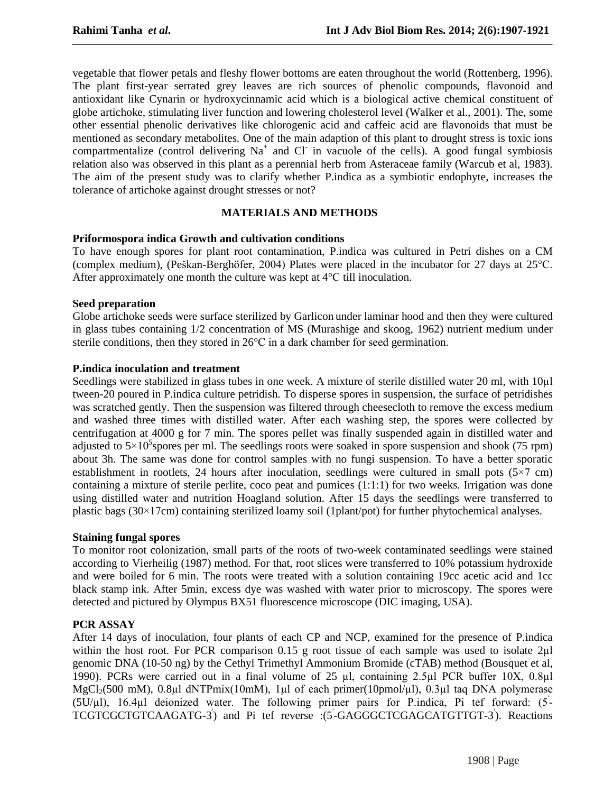vegetable that flower petals and fleshy flower bottoms are eaten throughout the world (Rottenberg, 1996). The plant first-year serrated grey leaves are rich sources of phenolic compounds, flavonoid and antioxidant like Cynarin or hydroxycinnamic acid which is a biological active chemical constituent of globe artichoke, stimulating liver function and lowering cholesterol level (Walker et al., 2001). The, some other essential phenolic derivatives like chlorogenic acid and caffeic acid are flavonoids that must be mentioned as secondary metabolites. One of the main adaption of this plant to drought stress is toxic ions compartmentalize (control delivering  $Na<sup>+</sup>$  and Cl in vacuole of the cells). A good fungal symbiosis relation also was observed in this plant as a perennial herb from Asteraceae family (Warcub et al, 1983). The aim of the present study was to clarify whether P.indica as a symbiotic endophyte, increases the tolerance of artichoke against drought stresses or not?

## **MATERIALS AND METHODS**

#### **Priformospora indica Growth and cultivation conditions**

To have enough spores for plant root contamination, P.indica was cultured in Petri dishes on a CM Priformospora indica Growth and cultivation conditions<br>To have enough spores for plant root contamination, P.indica was cultured in Petri dishes on a CM<br>(complex medium), (Peškan-Berghöfer, 2004) Plates were placed in the To have enough spores for plant root contamination, P.indica was cultured (complex medium), (Peškan-Berghöfer, 2004) Plates were placed in the inculation.<br>After approximately one month the culture was kept at 4°C till inoc

#### **Seed preparation**

Globe artichoke seeds were surface sterilized by Garlicon under laminar hood and then they were cultured in glass tubes containing 1/2 concentration of MS (Murashige and skoog, 1962) nutrient medium under Globe artichoke seeds were surface sterilized by Garlicon under laminar hood and then in glass tubes containing  $1/2$  concentration of MS (Murashige and skoog, 1962) nutri-<br>sterile conditions, then they stored in  $26^{\circ}\text$ 

#### **P.indica inoculation and treatment**

Seedlings were stabilized in glass tubes in one week. A mixture of sterile distilled water 20 ml, with  $10\mu$ l tween-20 poured in P.indica culture petridish. To disperse spores in suspension, the surface of petridishes was scratched gently. Then the suspension was filtered through cheesecloth to remove the excess medium and washed three times with distilled water. After each washing step, the spores were collected by centrifugation at 4000 g for 7 min. The spores pellet was finally suspended again in distilled water and and washed three times with distilled water. After each washing step, the spores were collected by centrifugation at 4000 g for 7 min. The spores pellet was finally suspended again in distilled water and adjusted to  $5 \times$ about 3h. The same was done for control samples with no fungi suspension. To have a better sporatic containing a mixture of sterile perlite, coco peat and pumices (1:1:1) for two weeks. Irrigation was done using distilled water and nutrition Hoagland solution. After 15 days the seedlings were transferred to containing a mixture of sterile perlite, coco peat and pumices  $(1:1:1)$  for two weeks. Irrigation was done using distilled water and nutrition Hoagland solution. After 15 days the seedlings were transferred to plastic ba

#### **Staining fungal spores**

To monitor root colonization, small parts of the roots of two-week contaminated seedlings were stained according to Vierheilig (1987) method. For that, root slices were transferred to 10% potassium hydroxide and were boiled for 6 min. The roots were treated with a solution containing 19cc acetic acid and 1cc black stamp ink. After 5min, excess dye was washed with water prior to microscopy. The spores were detected and pictured by Olympus BX51 fluorescence microscope (DIC imaging, USA).

#### **PCR ASSAY**

After 14 days of inoculation, four plants of each CP and NCP, examined for the presence of P.indica **PCR ASSAY**<br>After 14 days of inoculation, four plants of each CP and NCP, examined for the presence of P.indica<br>within the host root. For PCR comparison 0.15 g root tissue of each sample was used to isolate 2µl genomic DNA (10-50 ng) by the Cethyl Trimethyl Ammonium Bromide (cTAB) method (Bousquet et al, 1990). PCRs were carried out in a final volume of 25 μl, containing 2.5μl PCR buffer 10X, 0.8μl MgCl<sub>2</sub>(500 mM), 0.8μl dNTPmix within the host root. For PCR comparison 0.15 g root tissue of each sample was used to isolate 2µl genomic DNA (10-50 ng) by the Cethyl Trimethyl Ammonium Bromide (cTAB) method (Bousquet et al, 1990). PCRs were carried out 1990). PCRs were carried out in a final volume of 25  $\mu$ l, containing 2.5 $\mu$ l PCR buffer 10X, 0.8 $\mu$ l MgCl<sub>2</sub>(500 mM), 0.8 $\mu$ l dNTPmix(10mM), 1 $\mu$ l of each primer (10pmol/ $\mu$ l), 0.3 $\mu$ l tag DNA polymerase  $(5U/\mu l)$ , 16.4 $\mu l$  deionized water. The following primer pairs for P.indica, Pi tef forward:  $(5-V)$ TCGTCGCTGTCAAGATG-3) and Pi tef reverse :(5-GAGGGCTCGAGCATGTTGT-3). Reactions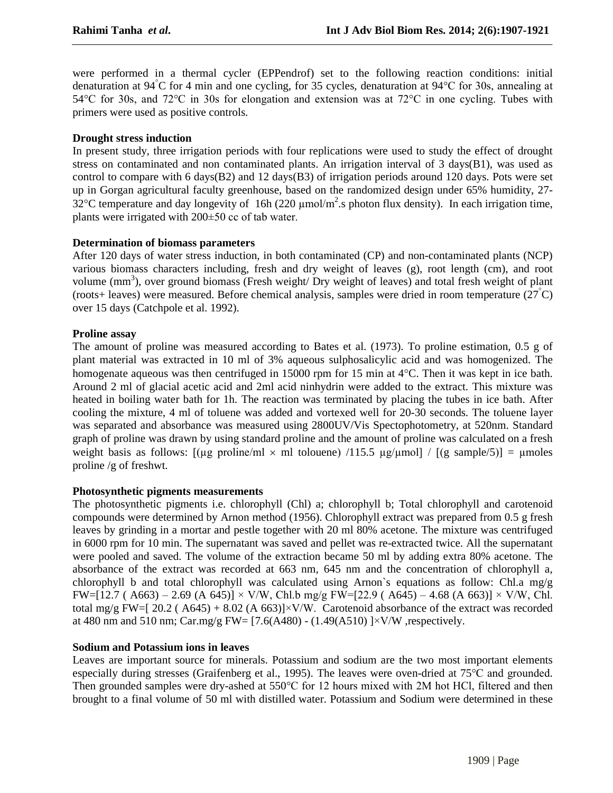were performed in a thermal cycler (EPPendrof) set to the following reaction conditions: initial were performed in a thermal cycler (EPPendrof) set to the following reaction conditions: initial denaturation at 94°C for 4 min and one cycling, for 35 cycles, denaturation at 94°C for 30s, annealing at 54 $\degree$ C for 30s, and 72 $\degree$ C in 30s for elongation and extension was at 72 $\degree$ C in one cycling. Tubes with primers were used as positive controls.

### **Drought stress induction**

In present study, three irrigation periods with four replications were used to study the effect of drought stress on contaminated and non contaminated plants. An irrigation interval of 3 days(B1), was used as control to compare with 6 days(B2) and 12 days(B3) of irrigation periods around 120 days. Pots were set up in Gorgan agricultural faculty greenhouse, based on the randomized design under 65% humidity, 27 control to compare with 6 days(B2) and 12 days(B3) of irrigation periods around 120 days. Pots were set<br>up in Gorgan agricultural faculty greenhouse, based on the randomized design under 65% humidity, 27-<br>32°C temperature up in Gorgan agricultural faculty greenhouse, based c<br>32°C temperature and day longevity of 16h (220 µmo<br>plants were irrigated with 200±50 cc of tab water.

#### **Determination of biomass parameters**

After 120 days of water stress induction, in both contaminated (CP) and non-contaminated plants (NCP) various biomass characters including, fresh and dry weight of leaves (g), root length (cm), and root °volume (mm<sup>3</sup>), over ground biomass (Fresh weight/ Dry weight of leaves) and total fresh weight of plant (roots+ leaves) were measured. Before chemical analysis, samples were dried in room temperature (27 C) over 15 days (Catchpole et al. 1992).

## **Proline assay**

The amount of proline was measured according to Bates et al. (1973). To proline estimation, 0.5 g of plant material was extracted in 10 ml of 3% aqueous sulphosalicylic acid and was homogenized. The The amount of proline was measured according to Bates et al. (1973). To proline estimation, 0.5 g of plant material was extracted in 10 ml of 3% aqueous sulphosalicylic acid and was homogenized. The homogenate aqueous was Around 2 ml of glacial acetic acid and 2ml acid ninhydrin were added to the extract. This mixture was heated in boiling water bath for 1h. The reaction was terminated by placing the tubes in ice bath. After cooling the mixture, 4 ml of toluene was added and vortexed well for 20-30 seconds. The toluene layer was separated and absorbance was measured using 2800UV/Vis Spectophotometry, at 520nm. Standard graph of proline was drawn by using standard proline and the amount of proline was calculated on a fresh weight basis as follows:  $[(\mu g \text{ proline/ml} \times \text{ml} \text{ toluene}) /115.5 \mu g/\mu \text{mol}] / [(g \text{ sample/5})] = \mu \text{moles}$ proline /g of freshwt.

#### **Photosynthetic pigments measurements**

The photosynthetic pigments i.e. chlorophyll (Chl) a; chlorophyll b; Total chlorophyll and carotenoid compounds were determined by Arnon method (1956). Chlorophyll extract was prepared from 0.5 g fresh leaves by grinding in a mortar and pestle together with 20 ml 80% acetone. The mixture was centrifuged in 6000 rpm for 10 min. The supernatant was saved and pellet was re-extracted twice. All the supernatant were pooled and saved. The volume of the extraction became 50 ml by adding extra 80% acetone. The absorbance of the extract was recorded at 663 nm, 645 nm and the concentration of chlorophyll a, chlorophyll b and total chlorophyll was calculated using Arnon`s equations as follow: Chl.a mg/g absorbance of the extract was recorded at 663 nm, 645 nm and the concentration of chlorophyll a, chlorophyll b and total chlorophyll was calculated using Arnon's equations as follow: Chl.a mg/g  $FW=[12.7 \ (A663) - 2.69 \ (A 645$ chlorophyll b and total chlorophyll was calculated using Arnon's equations as follow: Chl.a mg/g  $FW=[12.7 \ (A663) - 2.69 \ (A 645)] \times V/W$ , Chl.b mg/g  $FW=[22.9 \ (A645) - 4.68 \ (A 663)] \times V/W$ , Chl.<br>total mg/g  $FW=[20.2 \ (A645) + 8.02 \ (A 663$  $FW=[12.7 (A663) - 2.69 (A 645)] \times V/W$ , Chl.b mg/g  $FW=[22.9 (A645) - 4.68 (A 663)]$ <br>total mg/g  $FW=[20.2 (A645) + 8.02 (A 663)] \times V/W$ . Carotenoid absorbance of the extrace<br>at 480 nm and 510 nm; Car.mg/g  $FW=[7.6(A480) - (1.49(A510)) \times V/W$ , respecti

#### **Sodium and Potassium ions in leaves**

Leaves are important source for minerals. Potassium and sodium are the two most important elements Sodium and Potassium ions in leaves<br>Leaves are important source for minerals. Potassium and sodium are the two most important elements<br>especially during stresses (Graifenberg et al., 1995). The leaves were oven-dried at 75 Leaves are important source for minerals. Potassium and sodium are the two most important elements<br>especially during stresses (Graifenberg et al., 1995). The leaves were oven-dried at 75°C and grounded.<br>Then grounded sampl brought to a final volume of 50 ml with distilled water. Potassium and Sodium were determined in these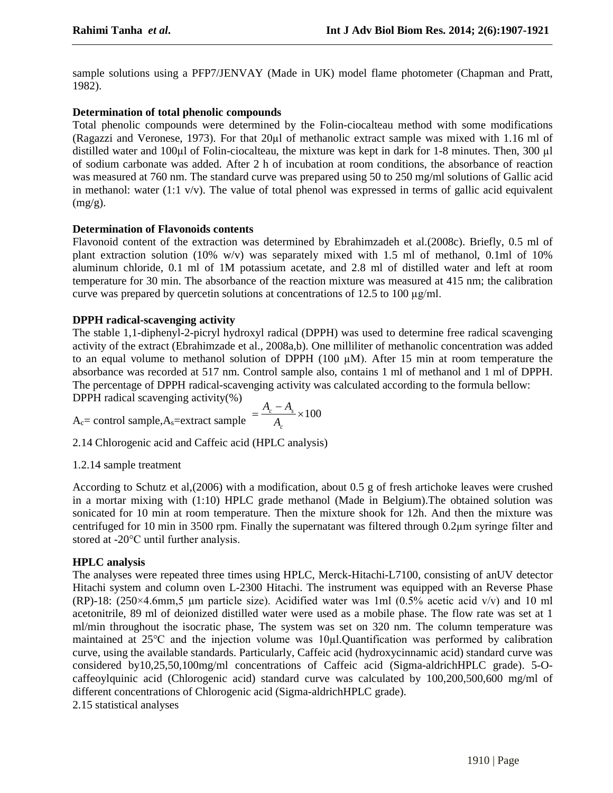sample solutions using a PFP7/JENVAY (Made in UK) model flame photometer (Chapman and Pratt, 1982).

## **Determination of total phenolic compounds**

Total phenolic compounds were determined by the Folin-ciocalteau method with some modifications Determination of total phenolic compounds<br>Total phenolic compounds were determined by the Folin-ciocalteau method with some modifications<br>(Ragazzi and Veronese, 1973). For that 20µl of methanolic extract sample was mixed w Total phenolic compounds were determined by the Folin-ciocalteau method with some modifications (Ragazzi and Veronese, 1973). For that  $20\mu$  of methanolic extract sample was mixed with 1.16 ml of distilled water and  $100$ of sodium carbonate was added. After 2 h of incubation at room conditions, the absorbance of reaction was measured at 760 nm.The standard curve was prepared using 50 to 250 mg/ml solutions of Gallic acid in methanol: water  $(1:1 \text{ v/v})$ . The value of total phenol was expressed in terms of gallic acid equivalent  $(mg/g)$ .

## **Determination of Flavonoids contents**

Flavonoid content of the extraction was determined by Ebrahimzadeh et al.(2008c). Briefly, 0.5 ml of plant extraction solution (10% w/v) was separately mixed with 1.5 ml of methanol, 0.1ml of 10% aluminum chloride, 0.1 ml of 1M potassium acetate, and 2.8 ml of distilled water and left at room temperature for 30 min. The absorbance of the reaction mixture was measured at 415 nm; the calibration curve was prepared by quercetin solutions at concentrations of 12.5 to <sup>100</sup> µg/ml.

## **DPPH radical-scavenging activity**

The stable 1,1-diphenyl-2-picryl hydroxyl radical (DPPH) was used to determine free radical scavenging activity of the extract (Ebrahimzade et al., 2008a,b). One milliliter of methanolic concentration was added to an equa activity of the extract (Ebrahimzade et al., 2008a,b). One milliliter of methanolic concentration was added absorbance was recorded at 517 nm.Control sample also, contains 1 ml of methanol and 1 ml of DPPH. The percentage of DPPH radical-scavenging activity was calculated according to the formula bellow:<br>DPPH radical scavenging activity(%)<br> $A = \frac{A_c - A_s}{\sqrt{1 - A_c}} \times 100$ DPPH radical scavenging activity(%)

$$
A_c = \text{control sample}, A_s = \text{extract sample} = \frac{A_c - A_s}{A_c} \times 100
$$

2.14 Chlorogenic acid and Caffeic acid (HPLC analysis)

#### 1.2.14 sample treatment

According to Schutz et al,(2006) with a modification, about 0.5 g of fresh artichoke leaves were crushed in a mortar mixing with (1:10) HPLC grade methanol (Made in Belgium).The obtained solution was sonicated for 10 min at room temperature. Then the mixture shook for 12h. And then the mixture was in a mortar mixing with (1:10) HPLC grade methanol (Made in Belgium). The obtained solution was sonicated for 10 min at room temperature. Then the mixture shook for 12h. And then the mixture was centrifuged for 10 min in sonicated for 10 min at room temperature<br>centrifuged for 10 min in 3500 rpm. Fina<br>stored at -20°C until further analysis.

## **HPLC analysis**

The analyses were repeated three times using HPLC, Merck-Hitachi-L7100, consisting of anUV detector Hitachi system and column oven L-2300 Hitachi. The instrument was equipped with an Reverse Phase The analyses were repeated three times using HPLC, Merck-Hitachi-L7100, consisting of an UV detector Hitachi system and column oven L-2300 Hitachi. The instrument was equipped with an Reverse Phase (RP)-18:  $(250\times4.6 \text{mm$ acetonitrile, 89 ml of deionized distilled water were used as a mobile phase. The flow rate was set at 1 ml/min throughout the isocratic phase, The system was set on 320 nm. The column temperature was maintained at <sup>25</sup>°C and the injection volume was 10µl.Quantification was performed by calibration curve, using the available standards. Particularly, Caffeic acid (hydroxycinnamic acid) standard curve was considered by10,25,50,100mg/ml concentrations of Caffeic acid (Sigma-aldrichHPLC grade). 5-O caffeoylquinic acid (Chlorogenic acid) standard curve was calculated by 100,200,500,600 mg/ml of different concentrations of Chlorogenic acid (Sigma-aldrichHPLC grade).<br>2.15 statistical analyses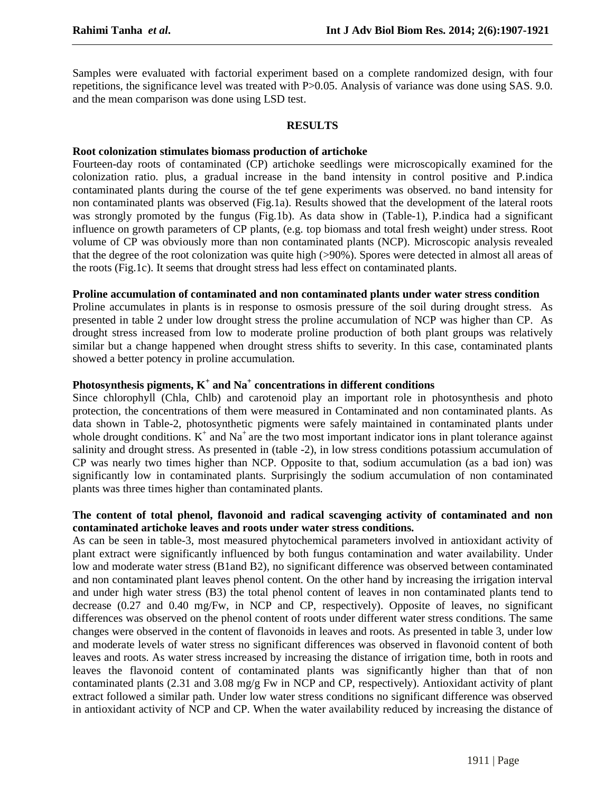Samples were evaluated with factorial experiment based on a complete randomized design, with four repetitions, the significance level was treated with P>0.05. Analysis of variance was done using SAS. 9.0. and the mean comparison was done using LSD test.

#### **RESULTS**

### **Root colonization stimulates biomass production of artichoke**

Fourteen-day roots of contaminated (CP) artichoke seedlings were microscopically examined for the colonization ratio. plus, a gradual increase in the band intensity in control positive and P.indica contaminated plants during the course of the tef gene experiments was observed. no band intensity for non contaminated plants was observed (Fig.1a). Results showed that the development of the lateral roots was strongly promoted by the fungus (Fig.1b). As data show in (Table-1), P. indica had a significant influence on growth parameters of CP plants, (e.g. top biomass and total fresh weight) under stress. Root volume of CP was obviously more than non contaminated plants (NCP). Microscopic analysis revealed that the degree of the root colonization was quite high (>90%). Spores were detected in almost all areas of the roots (Fig.1c). It seems that drought stress had less effect on contaminated plants.

#### **Proline accumulation of contaminated and non contaminated plants under water stress condition**

Proline accumulates in plants is in response to osmosis pressure of the soil during drought stress. As presented in table 2 under low drought stress the proline accumulation of NCP was higher than CP. As drought stress increased from low to moderate proline production of both plant groups was relatively similar but a change happened when drought stress shifts to severity. In this case, contaminated plants showed a better potency in proline accumulation.

## **Photosynthesis pigments, K <sup>+</sup> and Na <sup>+</sup> concentrations in different conditions**

Since chlorophyll (Chla, Chlb) and carotenoid play an important role in photosynthesis and photo protection, the concentrations of them were measured in Contaminated and non contaminated plants. As data shown in Table-2, photosynthetic pigments were safely maintained in contaminated plants under whole drought conditions.  $K^+$  and  $Na^+$  are the two most important indicator ions in plant tolerance against salinity and drought stress. As presented in (table -2), in low stress conditions potassium accumulation of CP was nearly two times higher than NCP. Opposite to that, sodium accumulation (as a bad ion) was significantly low in contaminated plants. Surprisingly the sodium accumulation of non contaminated plants was three times higher than contaminated plants.

### **The content of total phenol, flavonoid and radical scavenging activity of contaminated and non contaminated artichoke leaves and roots under water stress conditions.**

As can be seen in table-3, most measured phytochemical parameters involved in antioxidant activity of plant extract were significantly influenced by both fungus contamination and water availability. Under low and moderate water stress (B1and B2), no significant difference was observed between contaminated and non contaminated plant leaves phenol content. On the other hand by increasing the irrigation interval and under high water stress (B3) the total phenol content of leaves in non contaminated plants tend to decrease (0.27 and 0.40 mg/Fw, in NCP and CP, respectively). Opposite of leaves, no significant differences was observed on the phenol content of roots under different water stress conditions. The same changes were observed in the content of flavonoids in leaves and roots. As presented in table 3, under low and moderate levels of water stress no significant differences was observed in flavonoid content of both leaves and roots. As water stress increased by increasing the distance of irrigation time, both in roots and leaves the flavonoid content of contaminated plants was significantly higher than that of non contaminated plants (2.31 and 3.08 mg/g Fw in NCP and CP, respectively). Antioxidant activity of plant extract followed a similar path. Under low water stress conditions no significant difference was observed in antioxidant activity of NCP and CP. When the water availability reduced by increasing the distance of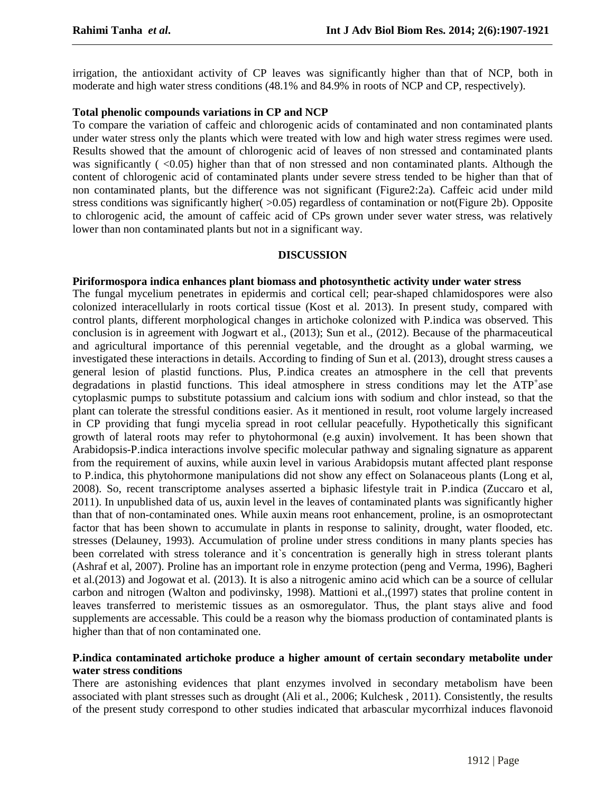irrigation, the antioxidant activity of CP leaves was significantly higher than that of NCP, both in moderate and high water stress conditions (48.1% and 84.9% in roots of NCP and CP, respectively).

## **Total phenolic compounds variations in CP and NCP**

To compare the variation of caffeic and chlorogenic acids of contaminated and non contaminated plants under water stress only the plants which were treated with low and high water stress regimes were used. Results showed that the amount of chlorogenic acid of leaves of non stressed and contaminated plants was significantly  $(\leq 0.05)$  higher than that of non stressed and non contaminated plants. Although the content of chlorogenic acid of contaminated plants under severe stress tended to be higher than that of non contaminated plants, but the difference was not significant (Figure2:2a). Caffeic acid under mild stress conditions was significantly higher( $>0.05$ ) regardless of contamination or not(Figure 2b). Opposite to chlorogenic acid, the amount of caffeic acid of CPs grown under sever water stress, was relatively lower than non contaminated plants but not in a significant way.

#### **DISCUSSION**

## **Piriformospora indica enhances plant biomass and photosynthetic activity under water stress**

The fungal mycelium penetrates in epidermis and cortical cell; pear-shaped chlamidospores were also colonized interacellularly in roots cortical tissue (Kost et al. 2013). In present study, compared with control plants, different morphological changes in artichoke colonized with P.indica was observed. This conclusion is in agreement with Jogwart et al., (2013); Sun et al., (2012). Because of the pharmaceutical and agricultural importance of this perennial vegetable, and the drought as a global warming, we investigated these interactions in details. According to finding of Sun et al. (2013), drought stress causes a general lesion of plastid functions. Plus, P.indica creates an atmosphere in the cell that prevents degradations in plastid functions. This ideal atmosphere in stress conditions may let the ATP<sup>+</sup>ase cytoplasmic pumps to substitute potassium and calcium ions with sodium and chlor instead, so that the plant can tolerate the stressful conditions easier. As it mentioned in result, root volume largely increased in CP providing that fungi mycelia spread in root cellular peacefully. Hypothetically this significant growth of lateral roots may refer to phytohormonal (e.g auxin) involvement. It has been shown that Arabidopsis-P.indica interactions involve specific molecular pathway and signaling signature as apparent from the requirement of auxins, while auxin level in various Arabidopsis mutant affected plant response to P.indica, this phytohormone manipulations did not show any effect on Solanaceous plants (Long et al, 2008). So, recent transcriptome analyses asserted a biphasic lifestyle trait in P.indica (Zuccaro et al, 2011). In unpublished data of us, auxin level in the leaves of contaminated plants was significantly higher than that of non-contaminated ones. While auxin means root enhancement, proline, is an osmoprotectant factor that has been shown to accumulate in plants in response to salinity, drought, water flooded, etc. stresses (Delauney, 1993). Accumulation of proline under stress conditions in many plants species has been correlated with stress tolerance and it's concentration is generally high in stress tolerant plants (Ashraf et al, 2007). Proline has an important role in enzyme protection (peng and Verma, 1996), Bagheri et al.(2013) and Jogowat et al. (2013). It is also a nitrogenic amino acid which can be a source of cellular carbon and nitrogen (Walton and podivinsky, 1998). Mattioni et al.,(1997) states that proline content in leaves transferred to meristemic tissues as an osmoregulator. Thus, the plant stays alive and food supplements are accessable. This could be a reason why the biomass production of contaminated plants is higher than that of non contaminated one.

## **P.indica contaminated artichoke produce a higher amount of certain secondary metabolite under water stress conditions**

There are astonishing evidences that plant enzymes involved in secondary metabolism have been associated with plant stresses such as drought (Ali et al., 2006; Kulchesk , 2011). Consistently, the results of the present study correspond to other studies indicated that arbascular mycorrhizal induces flavonoid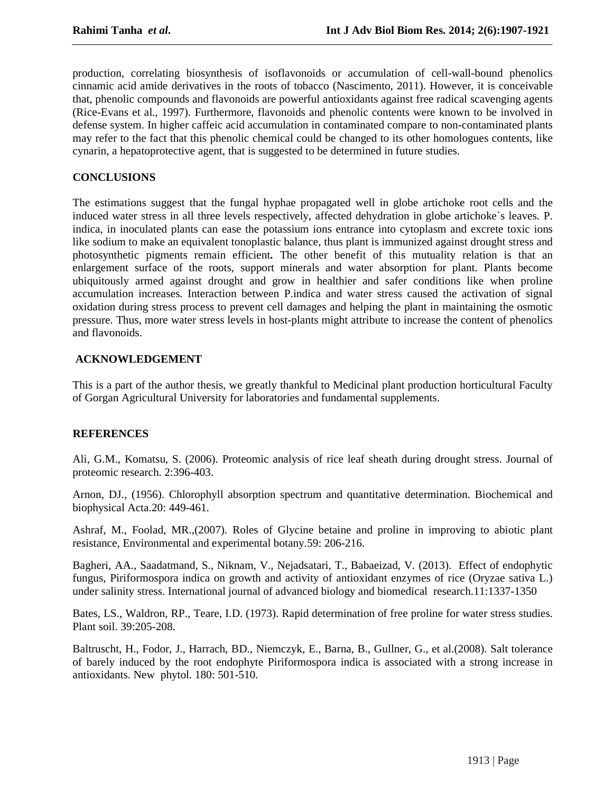production, correlating biosynthesis of isoflavonoids or accumulation of cell-wall-bound phenolics cinnamic acid amide derivatives in the roots of tobacco (Nascimento, 2011). However, it is conceivable that, phenolic compounds and flavonoids are powerful antioxidants against free radical scavenging agents (Rice-Evans et al., 1997). Furthermore, flavonoids and phenolic contents were known to be involved in defense system. In higher caffeic acid accumulation in contaminated compare to non-contaminated plants may refer to the fact that this phenolic chemical could be changed to its other homologues contents, like cynarin, a hepatoprotective agent, that is suggested to be determined in future studies.

## **CONCLUSIONS**

The estimations suggest that the fungal hyphae propagated well in globe artichoke root cells and the induced water stress in all three levels respectively, affected dehydration in globe artichoke`s leaves. P. indica, in inoculated plants can ease the potassium ions entrance into cytoplasm and excrete toxic ions like sodium to make an equivalent tonoplastic balance, thus plant is immunized against drought stress and photosynthetic pigments remain efficient**.** The other benefit of this mutuality relation is that an enlargement surface of the roots, support minerals and water absorption for plant. Plants become ubiquitously armed against drought and grow in healthier and safer conditions like when proline accumulation increases. Interaction between P.indica and water stress caused the activation of signal oxidation during stress process to prevent cell damages and helping the plant in maintaining the osmotic pressure. Thus, more water stress levels in host-plants might attribute to increase the content of phenolics and flavonoids.

## **ACKNOWLEDGEMENT**

This is a part of the author thesis, we greatly thankful to Medicinal plant production horticultural Faculty of Gorgan Agricultural University for laboratories and fundamental supplements.

#### **REFERENCES**

Ali, G.M., Komatsu, S. (2006). Proteomic analysis of rice leaf sheath during drought stress. Journal of proteomic research. 2:396-403.

Arnon, DJ., (1956). Chlorophyll absorption spectrum and quantitative determination. Biochemical and biophysical Acta.20: 449-461.

Ashraf, M., Foolad, MR.,(2007). Roles of Glycine betaine and proline in improving to abiotic plant resistance, Environmental and experimental botany.59: 206-216.

Bagheri, AA., Saadatmand, S., Niknam, V., Nejadsatari, T., Babaeizad, V. (2013). Effect of endophytic fungus, Piriformospora indica on growth and activity of antioxidant enzymes of rice (Oryzae sativa L.) under salinity stress. International journal of advanced biology and biomedical research.11:1337-1350

Bates, LS., Waldron, RP., Teare, I.D. (1973). Rapid determination of free proline for water stress studies. Plant soil. 39:205-208.

Baltruscht, H., Fodor, J., Harrach, BD., Niemczyk, E., Barna, B., Gullner, G., et al.(2008). Salt tolerance of barely induced by the root endophyte Piriformospora indica is associated with a strong increase in antioxidants. New phytol. 180: 501-510.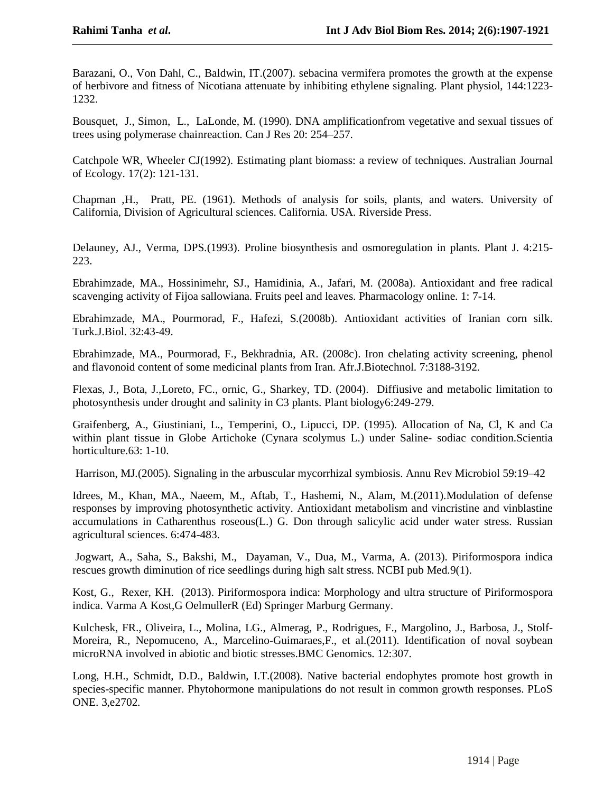Barazani, O., Von Dahl, C., Baldwin, IT.(2007). sebacina vermifera promotes the growth at the expense of herbivore and fitness of Nicotiana attenuate by inhibiting ethylene signaling. Plant physiol, 144:1223- 1232.

Bousquet, J., Simon, L., LaLonde, M. (1990). DNA amplificationfrom vegetative and sexual tissues of 1252.<br>Bousquet, J., Simon, L., LaLonde, M. (1990). DNA amplification<br>trees using polymerase chainreaction. Can J Res 20: 254–257.

Catchpole WR, Wheeler CJ(1992). Estimating plant biomass: a review of techniques. Australian Journal of Ecology. 17(2): 121-131.

Chapman ,H., Pratt, PE. (1961). Methods of analysis for soils, plants, and waters. University of California, Division of Agricultural sciences. California. USA. Riverside Press.

Delauney, AJ., Verma, DPS.(1993). Proline biosynthesis and osmoregulation in plants. Plant J. 4:215- 223.

Ebrahimzade, MA., Hossinimehr, SJ., Hamidinia, A., Jafari, M. (2008a). Antioxidant and free radical scavenging activity of Fijoa sallowiana. Fruits peel and leaves. Pharmacology online. 1: 7-14.

Ebrahimzade, MA., Pourmorad, F., Hafezi, S.(2008b). Antioxidant activities of Iranian corn silk. Turk.J.Biol. 32:43-49.

Ebrahimzade, MA., Pourmorad, F., Bekhradnia, AR. (2008c). Iron chelating activity screening, phenol and flavonoid content of some medicinal plants from Iran. Afr.J.Biotechnol. 7:3188-3192.

Flexas, J., Bota, J.,Loreto, FC., ornic, G., Sharkey, TD. (2004). Diffiusive and metabolic limitation to photosynthesis under drought and salinity in C3 plants. Plant biology6:249-279.

Graifenberg, A., Giustiniani, L., Temperini, O., Lipucci, DP. (1995). Allocation of Na, Cl, K and Ca within plant tissue in Globe Artichoke (Cynara scolymus L.) under Saline- sodiac condition.Scientia horticulture.63: 1-10.

Harrison, MJ.(2005). Signaling in the arbuscular mycorrhizal symbiosis. Annu Rev Microbiol 59:19–42

Idrees, M., Khan, MA., Naeem, M., Aftab, T., Hashemi, N., Alam, M.(2011).Modulation of defense responses by improving photosynthetic activity. Antioxidant metabolism and vincristine and vinblastine accumulations in Catharenthus roseous(L.) G. Don through salicylic acid under water stress. Russian agricultural sciences. 6:474-483.

Jogwart, A., Saha, S., Bakshi, M., Dayaman, V., Dua, M., Varma, A. (2013). Piriformospora indica rescues growth diminution of rice seedlings during high saltstress. NCBI pub Med.9(1).

Kost, G., Rexer, KH. (2013). Piriformospora indica: Morphology and ultra structure of Piriformospora indica. Varma A Kost,G OelmullerR (Ed) Springer Marburg Germany.

Kulchesk, FR., Oliveira, L., Molina, LG., Almerag, P., Rodrigues, F., Margolino, J., Barbosa, J., Stolf- Moreira, R., Nepomuceno, A., Marcelino-Guimaraes,F., et al.(2011). Identification of noval soybean microRNA involved in abiotic and biotic stresses.BMC Genomics. 12:307.

Long, H.H., Schmidt, D.D., Baldwin, I.T.(2008). Native bacterial endophytes promote host growth in species-specific manner. Phytohormone manipulations do not result in common growth responses. PLoS ONE. 3,e2702.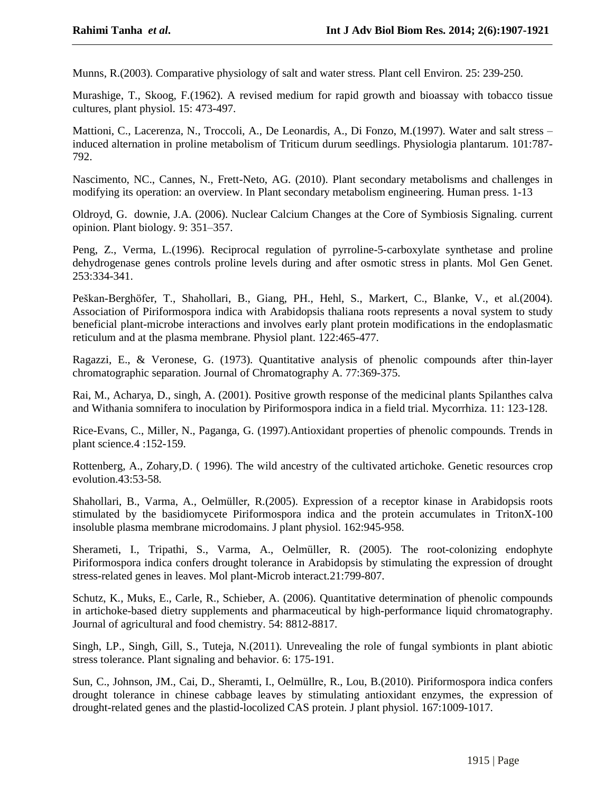Munns, R.(2003). Comparative physiology of salt and water stress. Plant cell Environ. 25: 239-250.

Murashige, T., Skoog, F.(1962). A revised medium for rapid growth and bioassay with tobacco tissue cultures, plant physiol. 15: 473-497.

Mattioni, C., Lacerenza, N., Troccoli, A., De Leonardis, A., Di Fonzo, M.(1997). Water and salt stress induced alternation in proline metabolism of Triticum durum seedlings. Physiologia plantarum. 101:787- 792.

Nascimento, NC., Cannes, N., Frett-Neto, AG. (2010). Plant secondary metabolisms and challenges in modifying its operation: an overview. In Plant secondary metabolism engineering. Human press. 1-13

Oldroyd, G. downie, J.A. (2006). Nuclear Calcium Changes at the Core of Symbiosis Signaling. current operation. an overview. In<br>Oldroyd, G. downie, J.A. (2006). Nucl<br>opinion. Plant biology. 9: 351–357.

Peng, Z., Verma, L.(1996). Reciprocal regulation of pyrroline-5-carboxylate synthetase and proline dehydrogenase genes controls proline levels during and after osmotic stress in plants. Mol Gen Genet. 253:334-341.

Peškan-Berghöfer, T., Shahollari, B., Giang, PH., Hehl, S., Markert, C., Blanke, V., et al. (2004). Association of Piriformospora indica with Arabidopsis thaliana roots represents a noval system to study beneficial plant-microbe interactions and involves early plant protein modifications in the endoplasmatic reticulum and at the plasma membrane. Physiol plant. 122:465-477.

Ragazzi, E., & Veronese, G. (1973). Quantitative analysis of phenolic compounds after thin-layer chromatographic separation. Journal of Chromatography A. 77:369-375.

Rai, M., Acharya, D., singh, A. (2001). Positive growth response of the medicinal plants Spilanthes calva and Withania somnifera to inoculation by Piriformospora indica in a field trial. Mycorrhiza. 11: 123-128.

Rice-Evans, C., Miller, N., Paganga, G. (1997).Antioxidant properties of phenolic compounds. Trends in plant science.4 :152-159.

Rottenberg, A., Zohary,D. ( 1996). The wild ancestry of the cultivated artichoke. Genetic resources crop evolution.43:53-58.

Shahollari, B., Varma, A., Oelmüller, R.(2005). Expression of a receptor kinase in Arabidopsis roots stimulated by the basidiomycete Piriformospora indica and the protein accumulates in TritonX-100 insoluble plasma membrane microdomains. J plant physiol. 162:945-958.

Sherameti, I., Tripathi, S., Varma, A., Oelmüller, R. (2005). The root-colonizing endophyte Piriformospora indica confers drought tolerance in Arabidopsis by stimulating the expression of drought stress-related genes in leaves. Mol plant-Microb interact.21:799-807.

Schutz, K., Muks, E., Carle, R., Schieber, A. (2006). Quantitative determination of phenolic compounds in artichoke-based dietry supplements and pharmaceutical by high-performance liquid chromatography. Journal of agricultural and food chemistry. 54: 8812-8817.

Singh, LP., Singh, Gill, S., Tuteja, N.(2011). Unrevealing the role of fungal symbionts in plant abiotic stress tolerance. Plant signaling and behavior. 6: 175-191.

Sun, C., Johnson, JM., Cai, D., Sheramti, I., Oelmüllre, R., Lou, B.(2010). Piriformospora indica confers drought tolerance in chinese cabbage leaves by stimulating antioxidant enzymes, the expression of drought-related genes and the plastid-locolized CAS protein. J plant physiol. 167:1009-1017.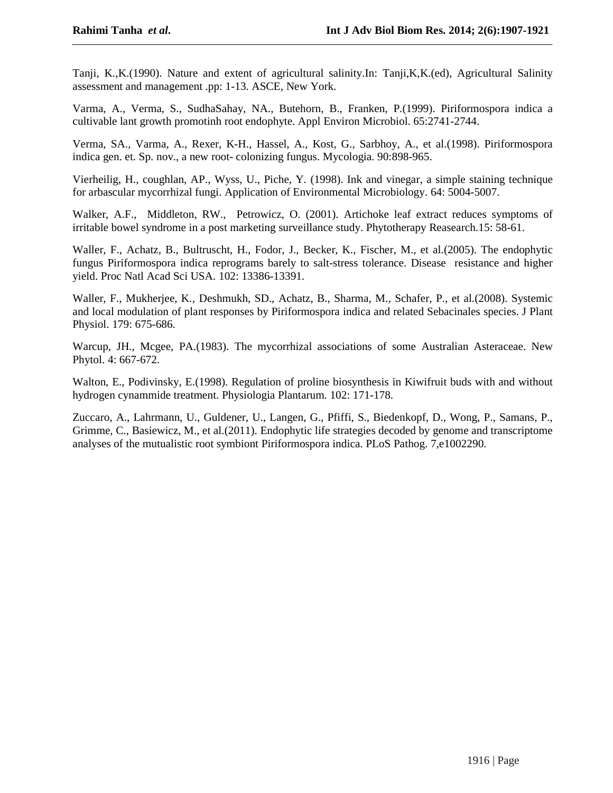Tanji, K.,K.(1990). Nature and extent of agricultural salinity.In: Tanji,K,K.(ed), Agricultural Salinity assessment and management .pp: 1-13. ASCE, New York.

Varma, A., Verma, S., SudhaSahay, NA., Butehorn, B., Franken, P.(1999). Piriformospora indica a cultivable lant growth promotinh root endophyte. Appl Environ Microbiol. 65:2741-2744.

Verma, SA., Varma, A., Rexer, K-H., Hassel, A., Kost, G., Sarbhoy, A., et al.(1998). Piriformospora indica gen. et. Sp. nov., a new root- colonizing fungus. Mycologia. 90:898-965.

Vierheilig, H., coughlan, AP., Wyss, U., Piche, Y. (1998). Ink and vinegar, a simple staining technique for arbascular mycorrhizal fungi. Application of Environmental Microbiology. 64: 5004-5007.

Walker, A.F., Middleton, RW., Petrowicz, O. (2001). Artichoke leaf extract reduces symptoms of irritable bowel syndrome in a post marketing surveillance study. Phytotherapy Reasearch.15: 58-61.

Waller, F., Achatz, B., Bultruscht, H., Fodor, J., Becker, K., Fischer, M., et al.(2005). The endophytic fungus Piriformospora indica reprograms barely to salt-stress tolerance. Disease resistance and higher yield. Proc Natl Acad Sci USA. 102: 13386-13391.

Waller, F., Mukherjee, K., Deshmukh, SD., Achatz, B., Sharma, M., Schafer, P., et al.(2008). Systemic and local modulation of plant responses by Piriformospora indica and related Sebacinales species. J Plant Physiol. 179: 675-686.

Warcup, JH., Mcgee, PA.(1983). The mycorrhizal associations of some Australian Asteraceae. New Phytol. 4: 667-672.

Walton, E., Podivinsky, E.(1998). Regulation of proline biosynthesis in Kiwifruit buds with and without hydrogen cynammide treatment. Physiologia Plantarum. 102: 171-178.

Zuccaro, A., Lahrmann, U., Guldener, U., Langen, G., Pfiffi, S., Biedenkopf, D., Wong, P., Samans, P., Grimme, C., Basiewicz, M., et al.(2011). Endophytic life strategies decoded by genome and transcriptome analyses of the mutualistic root symbiont Piriformospora indica. PLoS Pathog. 7,e1002290.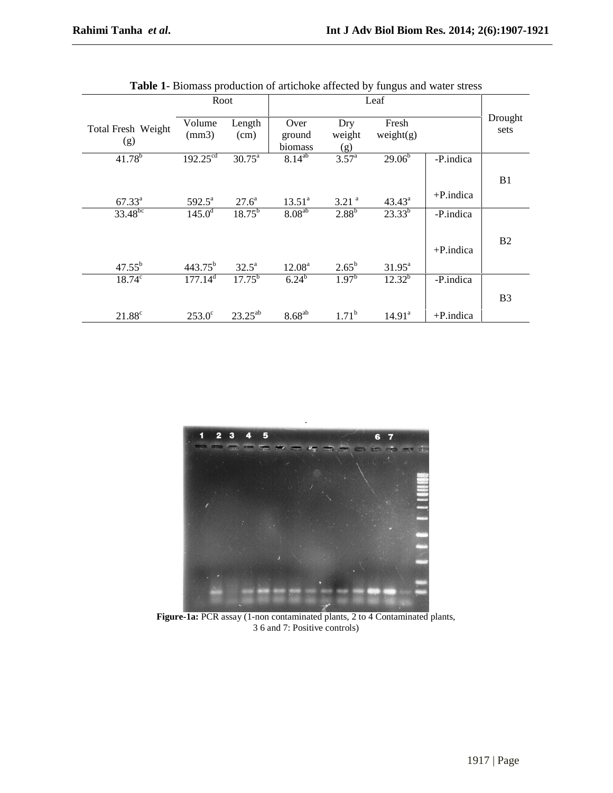|                           |                      | Leaf<br>Root       |                           |                      |                        |              |                 |
|---------------------------|----------------------|--------------------|---------------------------|----------------------|------------------------|--------------|-----------------|
| Total Fresh Weight<br>(g) | Volume<br>(mm3)      | Length<br>(cm)     | Over<br>ground<br>biomass | Dry<br>weight<br>(g) | Fresh<br>weight(g)     |              | Drought<br>sets |
| $41.78^{b}$               | $192.25^{\text{cd}}$ | $30.75^{\text{a}}$ | $8.14^{ab}$               | 3.57 <sup>a</sup>    | $29.06^{\overline{b}}$ | -P.indica    |                 |
|                           |                      |                    |                           |                      |                        |              | B1              |
| $67.33^{\rm a}$           | $592.5^{\circ}$      | $27.6^{\circ}$     | 13.51 <sup>a</sup>        | $3.21$ <sup>a</sup>  | $43.43^a$              | $+P$ .indica |                 |
| $33.48^{bc}$              | $145.0^{\rm d}$      | $18.75^{b}$        | $8.08^{ab}$               | $2.88^{b}$           | $23.33^{b}$            | -P.indica    |                 |
|                           |                      |                    |                           |                      |                        |              | B2              |
|                           |                      |                    |                           |                      |                        | $+P$ .indica |                 |
| $47.55^{b}$               | $443.75^{b}$         | $32.5^{\circ}$     | 12.08 <sup>a</sup>        | $2.65^{b}$           | $31.95^{\text{a}}$     |              |                 |
| $18.74^c$                 | 177.14 <sup>d</sup>  | $17.75^{b}$        | $6.24^{b}$                | $1.97^{b}$           | $12.32^{b}$            | -P.indica    |                 |
|                           |                      |                    |                           |                      |                        |              | B <sub>3</sub>  |
| $21.88^\circ$             | $253.0^\circ$        | $23.25^{ab}$       | $8.68^{ab}$               | $1.71^{b}$           | 14.91 <sup>a</sup>     | $+P$ .indica |                 |



.

**Figure-1a:** PCR assay (1-non contaminated plants, 2 to 4 Contaminated plants, 3 6 and 7: Positive controls)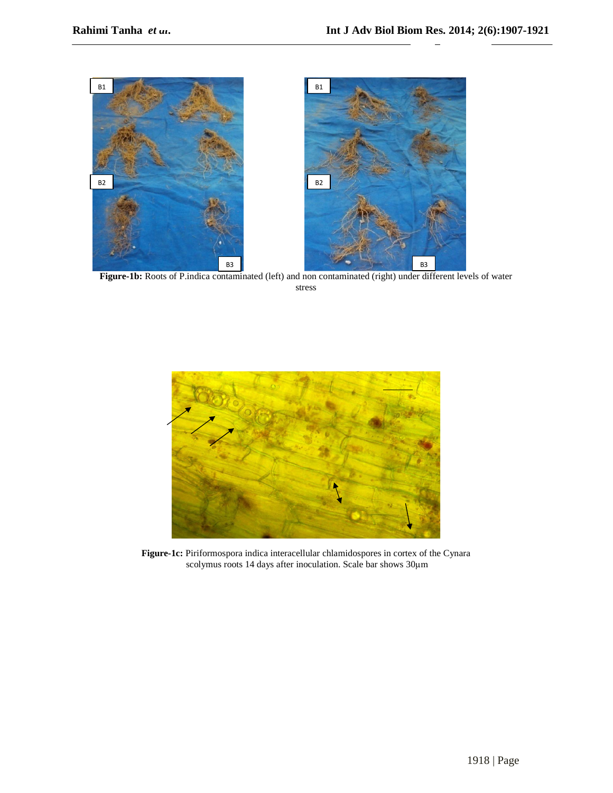

**Figure-1b:** Roots of P.indica contaminated (left) and non contaminated (right) under different levels of water stress



**Figure-1c:** Piriformospora indica interacellular chlamidospores in cortex of the Cynara Piriformospora indica interacellular chlamidospores in cortex of the Cynara<br>scolymus roots 14 days after inoculation. Scale bar shows 30µm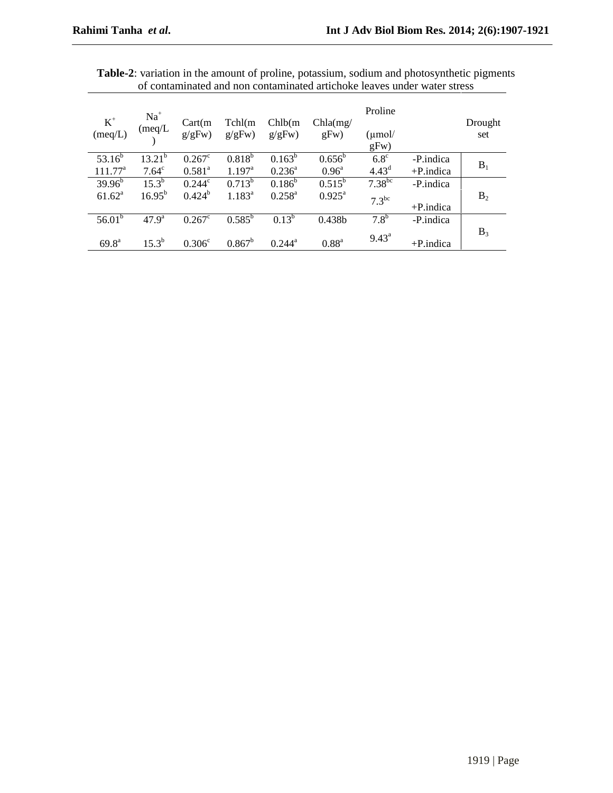| $\mathbf{K}^+$<br>(meq/L) | $Na+$<br>(meq/L) | Cart(m)<br>g/gFw)  | Tchl(m)<br>g/gFw) | Chlb(m)<br>g/gFw)  | Chla(mg)<br>gFw)   | Proline<br>(µmol/<br>gFw) |              | Drought<br>set |
|---------------------------|------------------|--------------------|-------------------|--------------------|--------------------|---------------------------|--------------|----------------|
| $53.16^{b}$               | $13.21^{b}$      | $0.267^{\circ}$    | $0.818^{b}$       | $0.163^b$          | $0.656^b$          | $6.8^\circ$               | -P.indica    | $B_1$          |
| $111.77^a$                | $7.64^{\circ}$   | $0.581^{a}$        | $1.197^{\rm a}$   | $0.236^{\circ}$    | $0.96^{\circ}$     | 4.43 <sup>d</sup>         | $+P$ .indica |                |
| $39.96^{b}$               | $15.3^{b}$       | $0.244^{\circ}$    | $0.713^b$         | $0.186^{b}$        | $0.515^b$          | $7.38^{bc}$               | -P.indica    |                |
| $61.62^{\rm a}$           | $16.95^{\rm b}$  | $0.424^{b}$        | $1.183^{a}$       | $0.258^{a}$        | $0.925^{\text{a}}$ | $7.3^{bc}$                | $+P$ .indica | B <sub>2</sub> |
| $56.01^b$                 | $47.9^{\rm a}$   | $0.267^{\circ}$    | $0.585^{\rm b}$   | $0.13^{b}$         | 0.438b             | $7.8^{\rm b}$             | -P.indica    |                |
| $69.8^{\text{a}}$         | $15.3^{b}$       | 0.306 <sup>c</sup> | $0.867^b$         | $0.244^{\text{a}}$ | 0.88 <sup>a</sup>  | $9.43^{\text{a}}$         | $+P$ .indica | $B_3$          |

**Table-2**: variation in the amount of proline, potassium, sodium and photosynthetic pigments of contaminated and non contaminated artichoke leaves under water stress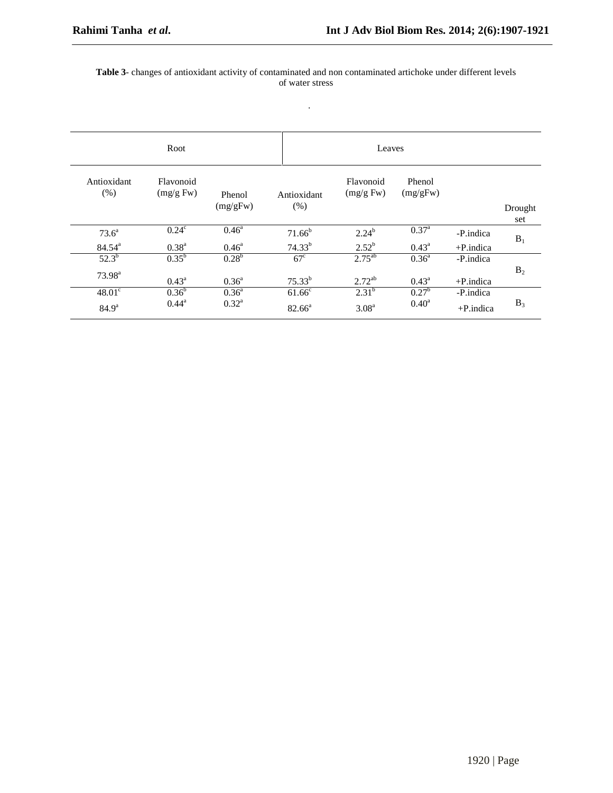#### **Table 3**- changes of antioxidant activity of contaminated and non contaminated artichoke under different levels of water stress

.

| Root                |                        |                    |                     | Leaves                 |                    |              |                |
|---------------------|------------------------|--------------------|---------------------|------------------------|--------------------|--------------|----------------|
| Antioxidant<br>(% ) | Flavonoid<br>(mg/g Fw) | Phenol<br>(mg/gFw) | Antioxidant<br>(% ) | Flavonoid<br>(mg/g Fw) | Phenol<br>(mg/gFw) |              | Drought<br>set |
| $73.6^a$            | $0.24^c$               | $0.46^{\rm a}$     | $71.66^b$           | $2.24^{b}$             | $0.37^{a}$         | -P.indica    |                |
| $84.54^{a}$         | $0.38^{a}$             | $0.46^{\circ}$     | $74.33^{b}$         | $2.52^b$               | $0.43^{\circ}$     | $+P$ .indica | $B_1$          |
| $52.3^{b}$          | $0.35^{b}$             | 0.28 <sup>b</sup>  | $67^{\circ}$        | $2.75^{ab}$            | $0.36^{a}$         | -P.indica    |                |
| $73.98^{a}$         | $0.43^{\rm a}$         | $0.36^{a}$         | $75.33^{b}$         | $2.72^{ab}$            | $0.43^{\circ}$     | $+P$ .indica | B <sub>2</sub> |
| $48.01^{\circ}$     | $0.36^{\rm b}$         | $0.36^{a}$         | $61.66^{\circ}$     | $2.31^{b}$             | $0.27^{\rm b}$     | -P.indica    |                |
| 84.9 <sup>a</sup>   | $0.44^{\rm a}$         | $0.32^{\rm a}$     | $82.66^{\circ}$     | 3.08 <sup>a</sup>      | 0.40 <sup>a</sup>  | $+P$ .indica | $B_3$          |